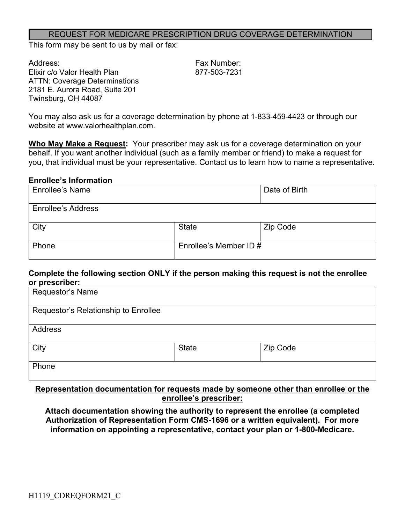#### REQUEST FOR MEDICARE PRESCRIPTION DRUG COVERAGE DETERMINATION

This form may be sent to us by mail or fax:

Address: Fax Number: Elixir c/o Valor Health Plan 877-503-7231 ATTN: Coverage Determinations 2181 E. Aurora Road, Suite 201 Twinsburg, OH 44087

You may also ask us for a coverage determination by phone at 1-833-459-4423 or through our website at www.valorhealthplan.com.

**Who May Make a Request:** Your prescriber may ask us for a coverage determination on your behalf. If you want another individual (such as a family member or friend) to make a request for you, that individual must be your representative. Contact us to learn how to name a representative.

#### **Enrollee's Information**

| <b>Enrollee's Name</b>    |                        | Date of Birth |
|---------------------------|------------------------|---------------|
| <b>Enrollee's Address</b> |                        |               |
| City                      | <b>State</b>           | Zip Code      |
| Phone                     | Enrollee's Member ID # |               |

#### **Complete the following section ONLY if the person making this request is not the enrollee or prescriber:**

| Requestor's Name                     |              |          |
|--------------------------------------|--------------|----------|
| Requestor's Relationship to Enrollee |              |          |
| <b>Address</b>                       |              |          |
| City                                 | <b>State</b> | Zip Code |
| Phone                                |              |          |

### **Representation documentation for requests made by someone other than enrollee or the enrollee's prescriber:**

**Attach documentation showing the authority to represent the enrollee (a completed Authorization of Representation Form CMS-1696 or a written equivalent). For more information on appointing a representative, contact your plan or 1-800-Medicare.**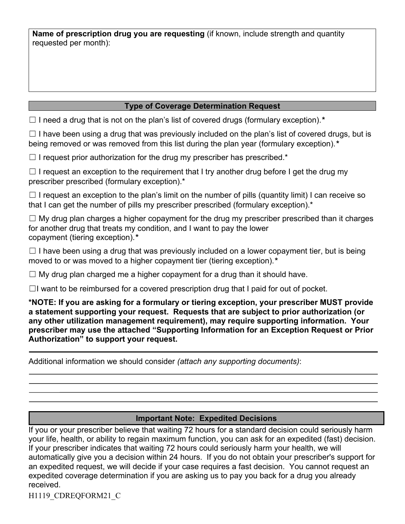**Name of prescription drug you are requesting** (if known, include strength and quantity requested per month):

## **Type of Coverage Determination Request**

☐ I need a drug that is not on the plan's list of covered drugs (formulary exception).*\**

 $\Box$  I have been using a drug that was previously included on the plan's list of covered drugs, but is being removed or was removed from this list during the plan year (formulary exception).*\**

 $\Box$  I request prior authorization for the drug my prescriber has prescribed.\*

 $\Box$  I request an exception to the requirement that I try another drug before I get the drug my prescriber prescribed (formulary exception).\*

 $\Box$  I request an exception to the plan's limit on the number of pills (quantity limit) I can receive so that I can get the number of pills my prescriber prescribed (formulary exception).<sup>\*</sup>

 $\Box$  My drug plan charges a higher copayment for the drug my prescriber prescribed than it charges for another drug that treats my condition, and I want to pay the lower copayment (tiering exception).*\**

 $\Box$  I have been using a drug that was previously included on a lower copayment tier, but is being moved to or was moved to a higher copayment tier (tiering exception).*\**

 $\Box$  My drug plan charged me a higher copayment for a drug than it should have.

 $\Box$ I want to be reimbursed for a covered prescription drug that I paid for out of pocket.

**\*NOTE: If you are asking for a formulary or tiering exception, your prescriber MUST provide a statement supporting your request. Requests that are subject to prior authorization (or any other utilization management requirement), may require supporting information. Your prescriber may use the attached "Supporting Information for an Exception Request or Prior Authorization" to support your request.**

Additional information we should consider *(attach any supporting documents)*:

## **Important Note: Expedited Decisions**

If you or your prescriber believe that waiting 72 hours for a standard decision could seriously harm your life, health, or ability to regain maximum function, you can ask for an expedited (fast) decision. If your prescriber indicates that waiting 72 hours could seriously harm your health, we will automatically give you a decision within 24 hours. If you do not obtain your prescriber's support for an expedited request, we will decide if your case requires a fast decision. You cannot request an expedited coverage determination if you are asking us to pay you back for a drug you already received.

H1119\_CDREQFORM21\_C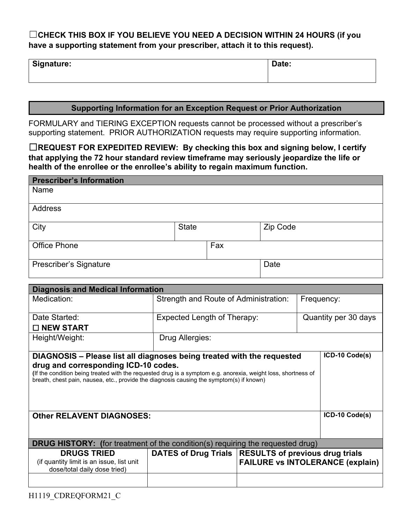# ☐**CHECK THIS BOX IF YOU BELIEVE YOU NEED A DECISION WITHIN 24 HOURS (if you have a supporting statement from your prescriber, attach it to this request).**

| Signature: | Date: |
|------------|-------|
|------------|-------|

### **Supporting Information for an Exception Request or Prior Authorization**

FORMULARY and TIERING EXCEPTION requests cannot be processed without a prescriber's supporting statement. PRIOR AUTHORIZATION requests may require supporting information.

☐**REQUEST FOR EXPEDITED REVIEW: By checking this box and signing below, I certify that applying the 72 hour standard review timeframe may seriously jeopardize the life or health of the enrollee or the enrollee's ability to regain maximum function.**

| <b>Prescriber's Information</b> |              |     |          |
|---------------------------------|--------------|-----|----------|
| Name                            |              |     |          |
| Address                         |              |     |          |
| City                            | <b>State</b> |     | Zip Code |
| <b>Office Phone</b>             |              | Fax |          |
| <b>Prescriber's Signature</b>   |              |     | Date     |

| <b>Diagnosis and Medical Information</b>                                                                                                                                                                                                                                                                                    |                                                        |  |                                         |  |
|-----------------------------------------------------------------------------------------------------------------------------------------------------------------------------------------------------------------------------------------------------------------------------------------------------------------------------|--------------------------------------------------------|--|-----------------------------------------|--|
| Medication:                                                                                                                                                                                                                                                                                                                 | Strength and Route of Administration:                  |  | Frequency:                              |  |
| Date Started:                                                                                                                                                                                                                                                                                                               | Expected Length of Therapy:<br>Quantity per 30 days    |  |                                         |  |
| $\Box$ NEW START                                                                                                                                                                                                                                                                                                            |                                                        |  |                                         |  |
| Height/Weight:                                                                                                                                                                                                                                                                                                              | Drug Allergies:                                        |  |                                         |  |
| DIAGNOSIS - Please list all diagnoses being treated with the requested<br>drug and corresponding ICD-10 codes.<br>(If the condition being treated with the requested drug is a symptom e.g. anorexia, weight loss, shortness of<br>breath, chest pain, nausea, etc., provide the diagnosis causing the symptom(s) if known) |                                                        |  | ICD-10 Code(s)                          |  |
| <b>Other RELAVENT DIAGNOSES:</b>                                                                                                                                                                                                                                                                                            |                                                        |  | ICD-10 Code(s)                          |  |
| <b>DRUG HISTORY:</b> (for treatment of the condition(s) requiring the requested drug)                                                                                                                                                                                                                                       |                                                        |  |                                         |  |
| <b>DRUGS TRIED</b><br>(if quantity limit is an issue, list unit<br>dose/total daily dose tried)                                                                                                                                                                                                                             | DATES of Drug Trials   RESULTS of previous drug trials |  | <b>FAILURE vs INTOLERANCE (explain)</b> |  |
|                                                                                                                                                                                                                                                                                                                             |                                                        |  |                                         |  |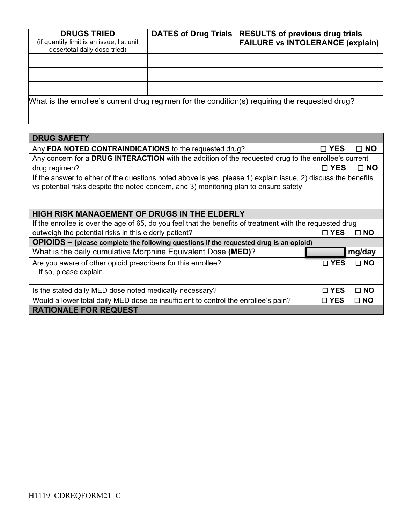| <b>DRUGS TRIED</b><br>(if quantity limit is an issue, list unit<br>dose/total daily dose tried) | <b>DATES of Drug Trials</b> | <b>RESULTS of previous drug trials</b><br><b>FAILURE vs INTOLERANCE (explain)</b>              |
|-------------------------------------------------------------------------------------------------|-----------------------------|------------------------------------------------------------------------------------------------|
|                                                                                                 |                             |                                                                                                |
|                                                                                                 |                             |                                                                                                |
|                                                                                                 |                             |                                                                                                |
|                                                                                                 |                             | What is the enrollee's current drug regimen for the condition(s) requiring the requested drug? |

| <b>DRUG SAFETY</b>                                                                                                                                                                                     |               |              |  |
|--------------------------------------------------------------------------------------------------------------------------------------------------------------------------------------------------------|---------------|--------------|--|
| Any FDA NOTED CONTRAINDICATIONS to the requested drug?                                                                                                                                                 | $\square$ YES | $\square$ NO |  |
| Any concern for a DRUG INTERACTION with the addition of the requested drug to the enrollee's current                                                                                                   |               |              |  |
| drug regimen?                                                                                                                                                                                          | $\square$ YES | $\square$ NO |  |
| If the answer to either of the questions noted above is yes, please 1) explain issue, 2) discuss the benefits<br>vs potential risks despite the noted concern, and 3) monitoring plan to ensure safety |               |              |  |
| HIGH RISK MANAGEMENT OF DRUGS IN THE ELDERLY                                                                                                                                                           |               |              |  |
| If the enrollee is over the age of 65, do you feel that the benefits of treatment with the requested drug                                                                                              |               |              |  |
| outweigh the potential risks in this elderly patient?                                                                                                                                                  | □ YES         | $\Box$ NO    |  |
| OPIOIDS - (please complete the following questions if the requested drug is an opioid)                                                                                                                 |               |              |  |
| What is the daily cumulative Morphine Equivalent Dose (MED)?                                                                                                                                           |               | mg/day       |  |
| Are you aware of other opioid prescribers for this enrollee?<br>If so, please explain.                                                                                                                 | $\square$ YES | $\square$ NO |  |
| Is the stated daily MED dose noted medically necessary?                                                                                                                                                | $\sqcap$ YES  | $\Box$ NO    |  |
| Would a lower total daily MED dose be insufficient to control the enrollee's pain?                                                                                                                     | $\square$ YES | $\square$ NO |  |
| <b>RATIONALE FOR REQUEST</b>                                                                                                                                                                           |               |              |  |